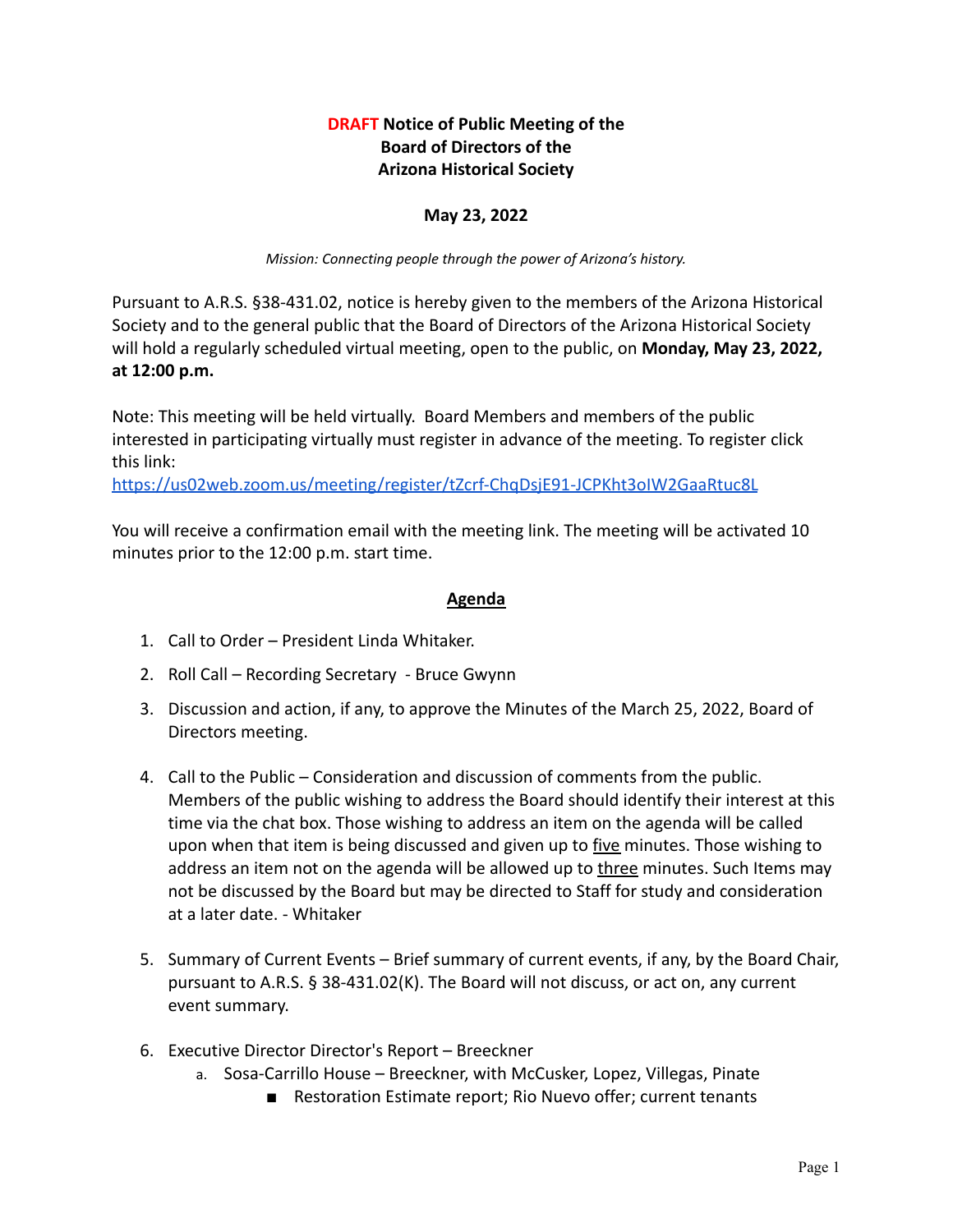## **DRAFT Notice of Public Meeting of the Board of Directors of the Arizona Historical Society**

## **May 23, 2022**

*Mission: Connecting people through the power of Arizona's history.*

Pursuant to A.R.S. §38-431.02, notice is hereby given to the members of the Arizona Historical Society and to the general public that the Board of Directors of the Arizona Historical Society will hold a regularly scheduled virtual meeting, open to the public, on **Monday, May 23, 2022, at 12:00 p.m.**

Note: This meeting will be held virtually. Board Members and members of the public interested in participating virtually must register in advance of the meeting. To register click this link:

<https://us02web.zoom.us/meeting/register/tZcrf-ChqDsjE91-JCPKht3oIW2GaaRtuc8L>

You will receive a confirmation email with the meeting link. The meeting will be activated 10 minutes prior to the 12:00 p.m. start time.

## **Agenda**

- 1. Call to Order President Linda Whitaker.
- 2. Roll Call Recording Secretary Bruce Gwynn
- 3. Discussion and action, if any, to approve the Minutes of the March 25, 2022, Board of Directors meeting.
- 4. Call to the Public Consideration and discussion of comments from the public. Members of the public wishing to address the Board should identify their interest at this time via the chat box. Those wishing to address an item on the agenda will be called upon when that item is being discussed and given up to five minutes. Those wishing to address an item not on the agenda will be allowed up to three minutes. Such Items may not be discussed by the Board but may be directed to Staff for study and consideration at a later date. - Whitaker
- 5. Summary of Current Events Brief summary of current events, if any, by the Board Chair, pursuant to A.R.S. § 38-431.02(K). The Board will not discuss, or act on, any current event summary.
- 6. Executive Director Director's Report Breeckner
	- a. Sosa-Carrillo House Breeckner, with McCusker, Lopez, Villegas, Pinate
		- Restoration Estimate report; Rio Nuevo offer; current tenants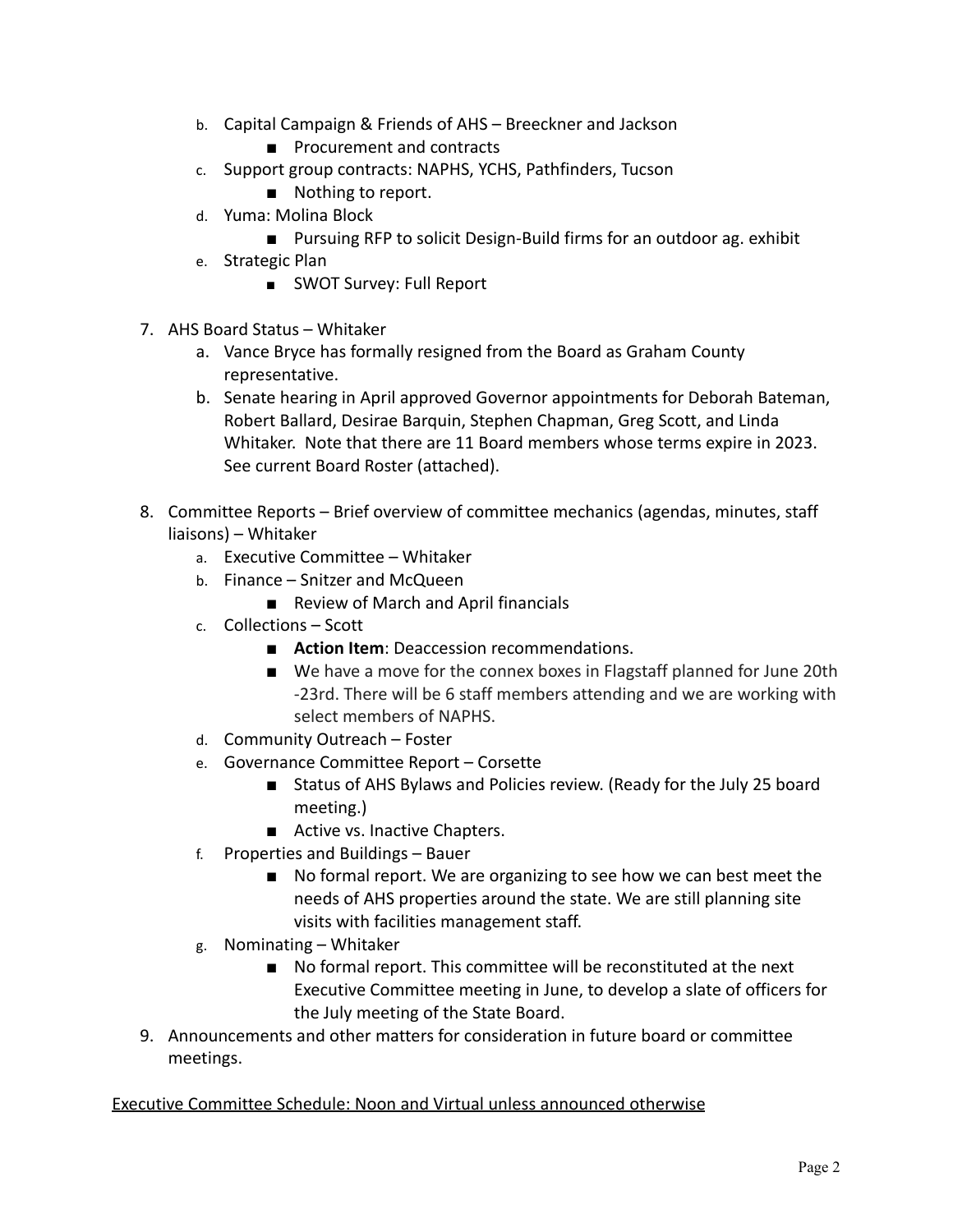- b. Capital Campaign & Friends of AHS Breeckner and Jackson
	- Procurement and contracts
- c. Support group contracts: NAPHS, YCHS, Pathfinders, Tucson
	- Nothing to report.
- d. Yuma: Molina Block
	- Pursuing RFP to solicit Design-Build firms for an outdoor ag. exhibit
- e. Strategic Plan
	- SWOT Survey: Full Report
- 7. AHS Board Status Whitaker
	- a. Vance Bryce has formally resigned from the Board as Graham County representative.
	- b. Senate hearing in April approved Governor appointments for Deborah Bateman, Robert Ballard, Desirae Barquin, Stephen Chapman, Greg Scott, and Linda Whitaker. Note that there are 11 Board members whose terms expire in 2023. See current Board Roster (attached).
- 8. Committee Reports Brief overview of committee mechanics (agendas, minutes, staff liaisons) – Whitaker
	- a. Executive Committee Whitaker
	- b. Finance Snitzer and McQueen
		- Review of March and April financials
	- c. Collections Scott
		- **Action Item**: Deaccession recommendations.
		- We have a move for the connex boxes in Flagstaff planned for June 20th -23rd. There will be 6 staff members attending and we are working with select members of NAPHS.
	- d. Community Outreach Foster
	- e. Governance Committee Report Corsette
		- Status of AHS Bylaws and Policies review. (Ready for the July 25 board meeting.)
		- Active vs. Inactive Chapters.
	- f. Properties and Buildings Bauer
		- No formal report. We are organizing to see how we can best meet the needs of AHS properties around the state. We are still planning site visits with facilities management staff.
	- g. Nominating Whitaker
		- No formal report. This committee will be reconstituted at the next Executive Committee meeting in June, to develop a slate of officers for the July meeting of the State Board.
- 9. Announcements and other matters for consideration in future board or committee meetings.

Executive Committee Schedule: Noon and Virtual unless announced otherwise